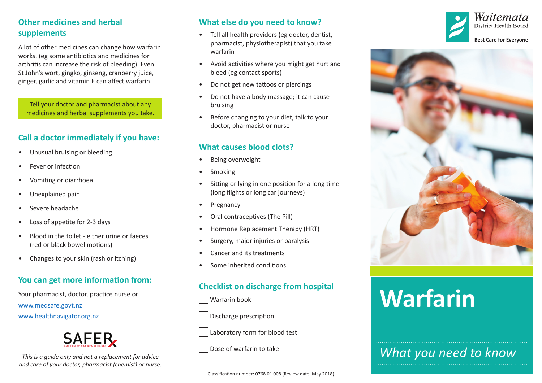## **Other medicines and herbal supplements**

A lot of other medicines can change how warfarin works. (eg some antibiotics and medicines for arthritis can increase the risk of bleeding). Even St John's wort, gingko, ginseng, cranberry juice, ginger, garlic and vitamin E can affect warfarin.

Tell your doctor and pharmacist about any medicines and herbal supplements you take.

#### **Call a doctor immediately if you have:**

- Unusual bruising or bleeding
- Fever or infection
- Vomiting or diarrhoea
- Unexplained pain
- Severe headache
- Loss of appetite for 2-3 days
- Blood in the toilet either urine or faeces (red or black bowel motions)
- Changes to your skin (rash or itching)

#### **You can get more information from:**

Your pharmacist, doctor, practice nurse or [www.medsafe.govt.nz](http://www.medsafe.govt.nz) [www.healthnavigator.org.nz](http://www.healthnavigator.org.nz)



*This is a guide only and not a replacement for advice and care of your doctor, pharmacist (chemist) or nurse.*

#### **What else do you need to know?**

- Tell all health providers (eg doctor, dentist, pharmacist, physiotherapist) that you take warfarin
- Avoid activities where you might get hurt and bleed (eg contact sports)
- Do not get new tattoos or piercings
- Do not have a body massage; it can cause bruising
- Before changing to your diet, talk to your doctor, pharmacist or nurse

#### **What causes blood clots?**

- Being overweight
- Smoking
- Sitting or lying in one position for a long time (long flights or long car journeys)
- Pregnancy
- Oral contraceptives (The Pill)
- Hormone Replacement Therapy (HRT)
- Surgery, major injuries or paralysis
- Cancer and its treatments
- Some inherited conditions

# **Checklist on discharge from hospital**

- Warfarin book
- Discharge prescription
- Laboratory form for blood test
- Dose of warfarin to take





# **Warfarin**

*What you need to know*